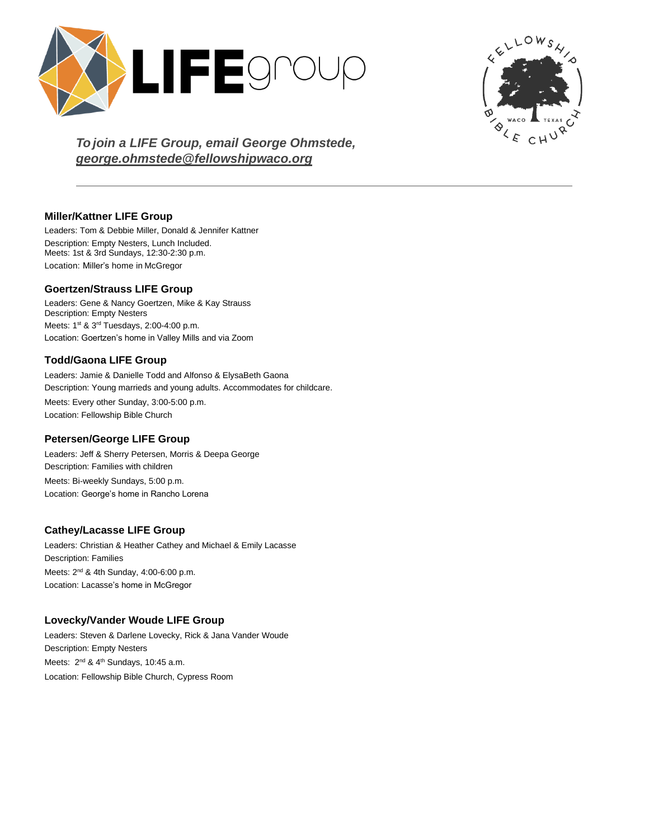



*To join a LIFE Group, email George Ohmstede, [george.ohmstede@fellowshipwaco.org](mailto:george.ohmstede@fellowshipwaco.org)*

## **Miller/Kattner LIFE Group**

Leaders: Tom & Debbie Miller, Donald & Jennifer Kattner Description: Empty Nesters, Lunch Included. Meets: 1st & 3rd Sundays, 12:30-2:30 p.m. Location: Miller's home in McGregor

## **Goertzen/Strauss LIFE Group**

Leaders: Gene & Nancy Goertzen, Mike & Kay Strauss Description: Empty Nesters Meets: 1<sup>st</sup> & 3<sup>rd</sup> Tuesdays, 2:00-4:00 p.m. Location: Goertzen's home in Valley Mills and via Zoom

# **Todd/Gaona LIFE Group**

Leaders: Jamie & Danielle Todd and Alfonso & ElysaBeth Gaona Description: Young marrieds and young adults. Accommodates for childcare. Meets: Every other Sunday, 3:00-5:00 p.m. Location: Fellowship Bible Church

### **Petersen/George LIFE Group**

Leaders: Jeff & Sherry Petersen, Morris & Deepa George Description: Families with children Meets: Bi-weekly Sundays, 5:00 p.m. Location: George's home in Rancho Lorena

# **Cathey/Lacasse LIFE Group**

Leaders: Christian & Heather Cathey and Michael & Emily Lacasse Description: Families Meets: 2<sup>nd</sup> & 4th Sunday, 4:00-6:00 p.m. Location: Lacasse's home in McGregor

# **Lovecky/Vander Woude LIFE Group**

Leaders: Steven & Darlene Lovecky, Rick & Jana Vander Woude Description: Empty Nesters Meets: 2<sup>nd</sup> & 4<sup>th</sup> Sundays, 10:45 a.m. Location: Fellowship Bible Church, Cypress Room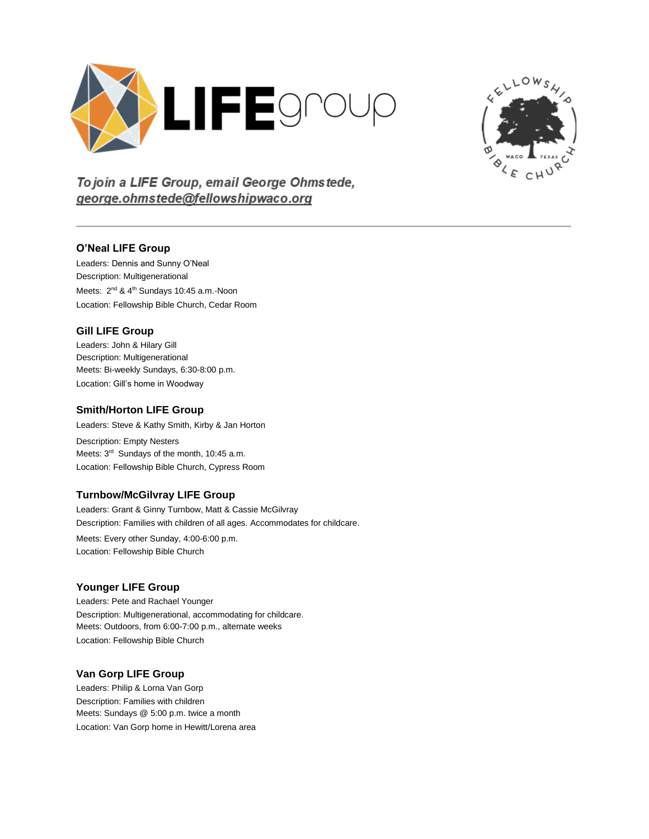



To join a LIFE Group, email George Ohmstede, george.ohmstede@fellowshipwaco.org

### **O'Neal LIFE Group**

Leaders: Dennis and Sunny O'Neal Description: Multigenerational Meets: 2<sup>nd</sup> & 4<sup>th</sup> Sundays 10:45 a.m.-Noon Location: Fellowship Bible Church, Cedar Room

#### **Gill LIFE Group**

Leaders: John & Hilary Gill Description: Multigenerational Meets: Bi-weekly Sundays, 6:30-8:00 p.m. Location: Gill's home in Woodway

#### **Smith/Horton LIFE Group**

Leaders: Steve & Kathy Smith, Kirby & Jan Horton

Description: Empty Nesters Meets: 3<sup>rd</sup> Sundays of the month, 10:45 a.m. Location: Fellowship Bible Church, Cypress Room

### **Turnbow/McGilvray LIFE Group**

Leaders: Grant & Ginny Turnbow, Matt & Cassie McGilvray Description: Families with children of all ages. Accommodates for childcare. Meets: Every other Sunday, 4:00-6:00 p.m.

Location: Fellowship Bible Church

### **Younger LIFE Group**

Leaders: Pete and Rachael Younger Description: Multigenerational, accommodating for childcare. Meets: Outdoors, from 6:00-7:00 p.m., alternate weeks Location: Fellowship Bible Church

### **Van Gorp LIFE Group**

Leaders: Philip & Lorna Van Gorp Description: Families with children Meets: Sundays @ 5:00 p.m. twice a month Location: Van Gorp home in Hewitt/Lorena area